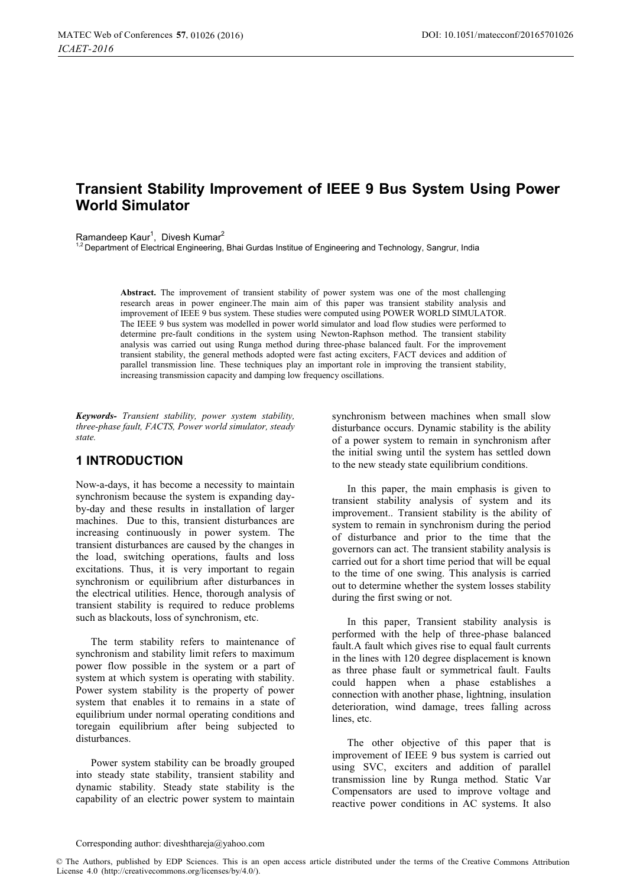# **Transient Stability Improvement of IEEE 9 Bus System Using Power World Simulator**

Ramandeep Kaur<sup>1</sup>, Divesh Kumar<sup>2</sup>

.<br>1.<br>Bepartment of Electrical Engineering, Bhai Gurdas Institue of Engineering and Technology, Sangrur, India

**Abstract.** The improvement of transient stability of power system was one of the most challenging research areas in power engineer.The main aim of this paper was transient stability analysis and improvement of IEEE 9 bus system. These studies were computed using POWER WORLD SIMULATOR. The IEEE 9 bus system was modelled in power world simulator and load flow studies were performed to determine pre-fault conditions in the system using Newton-Raphson method. The transient stability analysis was carried out using Runga method during three-phase balanced fault. For the improvement transient stability, the general methods adopted were fast acting exciters, FACT devices and addition of parallel transmission line. These techniques play an important role in improving the transient stability, increasing transmission capacity and damping low frequency oscillations.

*Keywords- Transient stability, power system stability, three-phase fault, FACTS, Power world simulator, steady state.* 

### **1 INTRODUCTION**

Now-a-days, it has become a necessity to maintain synchronism because the system is expanding dayby-day and these results in installation of larger machines. Due to this, transient disturbances are increasing continuously in power system. The transient disturbances are caused by the changes in the load, switching operations, faults and loss excitations. Thus, it is very important to regain synchronism or equilibrium after disturbances in the electrical utilities. Hence, thorough analysis of transient stability is required to reduce problems such as blackouts, loss of synchronism, etc.

The term stability refers to maintenance of synchronism and stability limit refers to maximum power flow possible in the system or a part of system at which system is operating with stability. Power system stability is the property of power system that enables it to remains in a state of equilibrium under normal operating conditions and toregain equilibrium after being subjected to disturbances.

Power system stability can be broadly grouped into steady state stability, transient stability and dynamic stability. Steady state stability is the capability of an electric power system to maintain synchronism between machines when small slow disturbance occurs. Dynamic stability is the ability of a power system to remain in synchronism after the initial swing until the system has settled down to the new steady state equilibrium conditions.

In this paper, the main emphasis is given to transient stability analysis of system and its improvement.. Transient stability is the ability of system to remain in synchronism during the period of disturbance and prior to the time that the governors can act. The transient stability analysis is carried out for a short time period that will be equal to the time of one swing. This analysis is carried out to determine whether the system losses stability during the first swing or not.

In this paper, Transient stability analysis is performed with the help of three-phase balanced fault.A fault which gives rise to equal fault currents in the lines with 120 degree displacement is known as three phase fault or symmetrical fault. Faults could happen when a phase establishes a connection with another phase, lightning, insulation deterioration, wind damage, trees falling across lines, etc.

The other objective of this paper that is improvement of IEEE 9 bus system is carried out using SVC, exciters and addition of parallel transmission line by Runga method. Static Var Compensators are used to improve voltage and reactive power conditions in AC systems. It also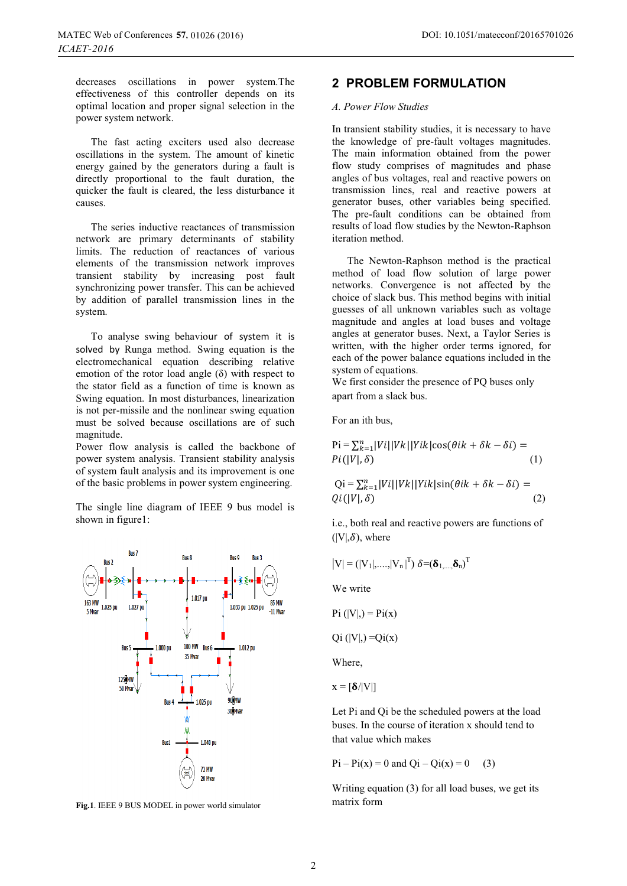decreases oscillations in power system.The effectiveness of this controller depends on its optimal location and proper signal selection in the power system network.

The fast acting exciters used also decrease oscillations in the system. The amount of kinetic energy gained by the generators during a fault is directly proportional to the fault duration, the quicker the fault is cleared, the less disturbance it causes.

The series inductive reactances of transmission network are primary determinants of stability limits. The reduction of reactances of various elements of the transmission network improves transient stability by increasing post fault synchronizing power transfer. This can be achieved by addition of parallel transmission lines in the system.

To analyse swing behaviour of system it is solved by Runga method. Swing equation is the electromechanical equation describing relative emotion of the rotor load angle  $(\delta)$  with respect to the stator field as a function of time is known as Swing equation. In most disturbances, linearization is not per-missile and the nonlinear swing equation must be solved because oscillations are of such magnitude.

Power flow analysis is called the backbone of power system analysis. Transient stability analysis of system fault analysis and its improvement is one of the basic problems in power system engineering.

The single line diagram of IEEE 9 bus model is shown in figure1:



**Fig.1**. IEEE 9 BUS MODEL in power world simulator

### **2 PROBLEM FORMULATION**

#### *A. Power Flow Studies*

In transient stability studies, it is necessary to have the knowledge of pre-fault voltages magnitudes. The main information obtained from the power flow study comprises of magnitudes and phase angles of bus voltages, real and reactive powers on transmission lines, real and reactive powers at generator buses, other variables being specified. The pre-fault conditions can be obtained from results of load flow studies by the Newton-Raphson iteration method.

The Newton-Raphson method is the practical method of load flow solution of large power networks. Convergence is not affected by the choice of slack bus. This method begins with initial guesses of all unknown variables such as voltage magnitude and angles at load buses and voltage angles at generator buses. Next, a Taylor Series is written, with the higher order terms ignored, for each of the power balance equations included in the system of equations.

We first consider the presence of PQ buses only apart from a slack bus.

For an ith bus,

$$
\text{Pi} = \sum_{k=1}^{n} |Vi| |Vk| |Yik| \cos(\theta ik + \delta k - \delta i) =
$$
  
\n
$$
Pi(|V|, \delta)
$$
 (1)

$$
Qi = \sum_{k=1}^{n} |Vi||Vk||Yik|sin(\theta ik + \delta k - \delta i) =
$$
  
Qi(|V|, \delta) (2)

i.e., both real and reactive powers are functions of  $(|V|,\delta)$ , where

$$
\left|V\right|=\left(\left|V_{1}\right|, \ldots, \left|V_{n}\right|^{T}\right) \delta\text{=}\left(\boldsymbol{\delta}_{1, \ldots, \boldsymbol{\delta}_{n}}\right)^{T}
$$

We write

 $Pi (|V|) = Pi(x)$ 

 $Qi (|V|) = Qi(x)$ 

Where,

 $x = \lfloor \delta / |V| \rfloor$ 

Let Pi and Qi be the scheduled powers at the load buses. In the course of iteration x should tend to that value which makes

 $Pi - Pi(x) = 0$  and  $Qi - Qi(x) = 0$  (3)

Writing equation (3) for all load buses, we get its matrix form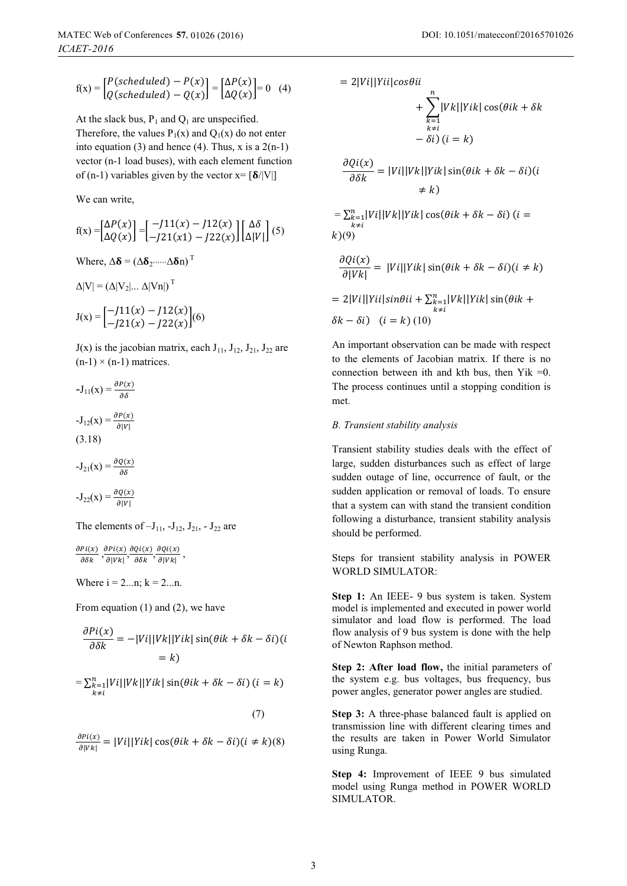$$
f(x) = \begin{bmatrix} P(scheduled) - P(x) \\ Q(scheduled) - Q(x) \end{bmatrix} = \begin{bmatrix} \Delta P(x) \\ \Delta Q(x) \end{bmatrix} = 0 \quad (4)
$$

At the slack bus,  $P_1$  and  $Q_1$  are unspecified. Therefore, the values  $P_1(x)$  and  $Q_1(x)$  do not enter into equation (3) and hence (4). Thus, x is a  $2(n-1)$ vector (n-1 load buses), with each element function of (n-1) variables given by the vector  $x = \frac{\delta}{|V|}$ 

We can write,

$$
f(x) = \begin{bmatrix} \Delta P(x) \\ \Delta Q(x) \end{bmatrix} = \begin{bmatrix} -J11(x) - J12(x) \\ -J21(x1) - J22(x) \end{bmatrix} \begin{bmatrix} \Delta \delta \\ \Delta |V| \end{bmatrix} (5)
$$

Where,  $\Delta \delta = (\Delta \delta_2, ..., \Delta \delta_n)^T$ 

$$
\Delta|V| = \left(\Delta|V_2|...\;\Delta|Vn|\right)^{\mathrm{T}}
$$

$$
J(x) = \begin{bmatrix} -J11(x) - J12(x) \\ -J21(x) - J22(x) \end{bmatrix} (6)
$$

 $J(x)$  is the jacobian matrix, each  $J_{11}$ ,  $J_{12}$ ,  $J_{21}$ ,  $J_{22}$  are  $(n-1) \times (n-1)$  matrices.

$$
-J_{11}(x) = \frac{\partial P(x)}{\partial \delta}
$$
  

$$
-J_{12}(x) = \frac{\partial P(x)}{\partial |V|}
$$
  
(3.18)  

$$
-J_{21}(x) = \frac{\partial Q(x)}{\partial \delta}
$$

$$
-J_{22}(x) = \frac{\partial Q(x)}{\partial |V|}
$$

The elements of  $-J_{11}$ ,  $-J_{12}$ ,  $J_{21}$ ,  $-J_{22}$  are

 $\partial P(i(x))$  $\frac{Pi(x)}{\partial \delta k}, \frac{\partial Pi(x)}{\partial |Vk|}$  $\frac{\partial P(i(x))}{\partial |Vk|}, \frac{\partial Q(i(x))}{\partial \delta k}$  $\frac{Qi(x)}{\partial \delta k}, \frac{\partial Qi(x)}{\partial |Vk|}$  $\frac{\partial Q(\mathcal{U})}{\partial |\mathcal{V}k|},$ 

Where  $i = 2...n$ ;  $k = 2...n$ .

From equation (1) and (2), we have

$$
\frac{\partial P(i(x))}{\partial \delta k} = -|Vi||Vk||Yik|\sin(\theta ik + \delta k - \delta i)(i)|
$$
  
= k

 $=\sum_{\substack{k=1 \ k \neq i}}^{n} |Vi||Vk||Yik| \sin(\theta ik + \delta k - \delta i) (i = k)$ 

(7)

 $\partial P(i(x))$  $\frac{\partial P(i\chi)}{\partial |V_k|} = |V_i||Yik| \cos(\theta ik + \delta k - \delta i)(i \neq k)(8)$ 

$$
= 2|Vi||Vi|cos\theta ii
$$
  
+ 
$$
\sum_{\substack{k=1 \ k \neq i}}^n |Vk||Yik| \cos(\theta ik + \delta k
$$
  
-  $\delta i$ )  $(i = k)$   

$$
\frac{\partial Qi(x)}{\partial \delta k} = |Vi||Vk||Yik| \sin(\theta ik + \delta k - \delta i)(i
$$
  
+  $k)$   
= 
$$
\sum_{\substack{k=1 \ k \neq i}}^n |Vi||Vk||Yik| \cos(\theta ik + \delta k - \delta i) (i =
$$
  
 $k)(9)$   

$$
\frac{\partial Qi(x)}{\partial |Vk|} = |Vi||Yik| \sin(\theta ik + \delta k - \delta i)(i \neq k)
$$

$$
= 2|Vi||Yii|sin\theta ii + \sum_{\substack{k=1\\k\neq i}}^{n} |Vk||Yik|sin(\theta ik + \delta k - \delta i) \quad (i = k) (10)
$$

An important observation can be made with respect to the elements of Jacobian matrix. If there is no connection between ith and kth bus, then Yik  $=0$ . The process continues until a stopping condition is met.

### *B. Transient stability analysis*

Transient stability studies deals with the effect of large, sudden disturbances such as effect of large sudden outage of line, occurrence of fault, or the sudden application or removal of loads. To ensure that a system can with stand the transient condition following a disturbance, transient stability analysis should be performed.

Steps for transient stability analysis in POWER WORLD SIMULATOR:

**Step 1:** An IEEE- 9 bus system is taken. System model is implemented and executed in power world simulator and load flow is performed. The load flow analysis of 9 bus system is done with the help of Newton Raphson method.

**Step 2: After load flow,** the initial parameters of the system e.g. bus voltages, bus frequency, bus power angles, generator power angles are studied.

**Step 3:** A three-phase balanced fault is applied on transmission line with different clearing times and the results are taken in Power World Simulator using Runga.

**Step 4:** Improvement of IEEE 9 bus simulated model using Runga method in POWER WORLD SIMULATOR.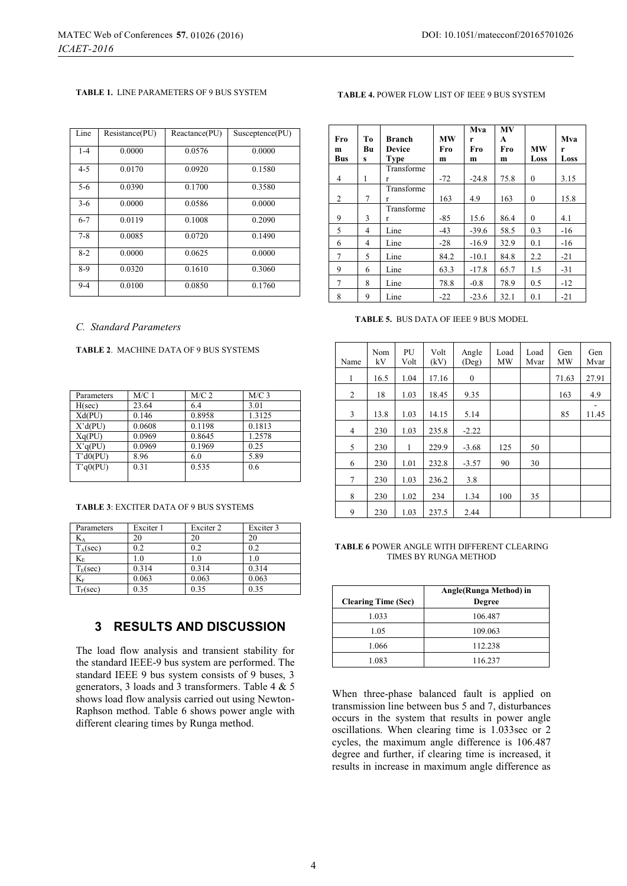#### **TABLE 1.** LINE PARAMETERS OF 9 BUS SYSTEM

| Line    | Resistance(PU) | Reactance(PU) | Susceptence(PU) |
|---------|----------------|---------------|-----------------|
| $1 - 4$ | 0.0000         | 0.0576        | 0.0000          |
| $4 - 5$ | 0.0170         | 0.0920        | 0.1580          |
| $5 - 6$ | 0.0390         | 0.1700        | 0.3580          |
| $3-6$   | 0.0000         | 0.0586        | 0.0000          |
| $6 - 7$ | 0.0119         | 0.1008        | 0.2090          |
| $7 - 8$ | 0.0085         | 0.0720        | 0.1490          |
| $8-2$   | 0.0000         | 0.0625        | 0.0000          |
| $8-9$   | 0.0320         | 0.1610        | 0.3060          |
| $9 - 4$ | 0.0100         | 0.0850        | 0.1760          |

#### *C. Standard Parameters*

### **TABLE 2**. MACHINE DATA OF 9 BUS SYSTEMS

| Parameters | M/C1   | $M/C$ 2 | $M/C$ 3 |
|------------|--------|---------|---------|
| H(sec)     | 23.64  | 6.4     | 3.01    |
| Xd(PU)     | 0.146  | 0.8958  | 1.3125  |
| X'd(PU)    | 0.0608 | 0.1198  | 0.1813  |
| Xq(PU)     | 0.0969 | 0.8645  | 1.2578  |
| X'q(PU)    | 0.0969 | 0.1969  | 0.25    |
| T'd0(PU)   | 8.96   | 6.0     | 5.89    |
| T'q0(PU)   | 0.31   | 0.535   | 0.6     |
|            |        |         |         |

#### **TABLE 3**: EXCITER DATA OF 9 BUS SYSTEMS

| Parameters        | Exciter 1 | Exciter 2    | Exciter 3 |
|-------------------|-----------|--------------|-----------|
| $K_A$             | 20        | 20           | 20        |
| $T_A(\sec)$       | 0.2       | 0.2          | 0.2       |
| $K_{E}$           | 1.0       | $_{\rm 1.0}$ | 1.0       |
| $T_E(\text{sec})$ | 0.314     | 0.314        | 0.314     |
| $K_F$             | 0.063     | 0.063        | 0.063     |
| $T_F(\text{sec})$ | 0.35      | 0.35         | 0.35      |

### **3 RESULTS AND DISCUSSION**

The load flow analysis and transient stability for the standard IEEE-9 bus system are performed. The standard IEEE 9 bus system consists of 9 buses, 3 generators, 3 loads and 3 transformers. Table 4  $\&$  5 shows load flow analysis carried out using Newton-Raphson method. Table 6 shows power angle with different clearing times by Runga method.

### **TABLE 4.** POWER FLOW LIST OF IEEE 9 BUS SYSTEM

| Fro        | Tо | <b>Branch</b> | <b>MW</b> | Mva      | <b>MV</b> |              | Mva   |
|------------|----|---------------|-----------|----------|-----------|--------------|-------|
| m          | Bu | <b>Device</b> | Fro       | r<br>Fro | A<br>Fro  | <b>MW</b>    | r     |
| <b>Bus</b> | s  | <b>Type</b>   | m         | m        | m         | Loss         | Loss  |
|            |    | Transforme    |           |          |           |              |       |
| 4          | 1  | r             | $-72$     | $-24.8$  | 75.8      | $\Omega$     | 3.15  |
|            |    | Transforme    |           |          |           |              |       |
| 2          | 7  | r             | 163       | 4.9      | 163       | $\mathbf{0}$ | 15.8  |
|            |    | Transforme    |           |          |           |              |       |
| 9          | 3  | r             | $-85$     | 15.6     | 86.4      | $\mathbf{0}$ | 4.1   |
| 5          | 4  | Line          | $-43$     | $-39.6$  | 58.5      | 0.3          | $-16$ |
| 6          | 4  | Line          | $-28$     | $-16.9$  | 32.9      | 0.1          | $-16$ |
| 7          | 5  | Line          | 84.2      | $-10.1$  | 84.8      | 2.2          | $-21$ |
| 9          | 6  | Line          | 63.3      | $-17.8$  | 65.7      | 1.5          | $-31$ |
| 7          | 8  | Line          | 78.8      | $-0.8$   | 78.9      | 0.5          | $-12$ |
| 8          | 9  | Line          | $-22$     | $-23.6$  | 32.1      | 0.1          | $-21$ |

**TABLE 5.** BUS DATA OF IEEE 9 BUS MODEL

| Name | Nom<br>kV | PU<br>Volt | Volt<br>(kV) | Angle<br>(Deg) | Load<br>MW | Load<br>Mvar | Gen<br>MW | Gen<br>Mvar |
|------|-----------|------------|--------------|----------------|------------|--------------|-----------|-------------|
| 1    | 16.5      | 1.04       | 17.16        | $\mathbf{0}$   |            |              | 71.63     | 27.91       |
| 2    | 18        | 1.03       | 18.45        | 9.35           |            |              | 163       | 4.9         |
| 3    | 13.8      | 1.03       | 14.15        | 5.14           |            |              | 85        | 11.45       |
| 4    | 230       | 1.03       | 235.8        | $-2.22$        |            |              |           |             |
| 5    | 230       | 1          | 229.9        | $-3.68$        | 125        | 50           |           |             |
| 6    | 230       | 1.01       | 232.8        | $-3.57$        | 90         | 30           |           |             |
| 7    | 230       | 1.03       | 236.2        | 3.8            |            |              |           |             |
| 8    | 230       | 1.02       | 234          | 1.34           | 100        | 35           |           |             |
| 9    | 230       | 1.03       | 237.5        | 2.44           |            |              |           |             |

#### **TABLE 6** POWER ANGLE WITH DIFFERENT CLEARING TIMES BY RUNGA METHOD

|                            | Angle (Runga Method) in |
|----------------------------|-------------------------|
| <b>Clearing Time (Sec)</b> | <b>Degree</b>           |
| 1.033                      | 106.487                 |
| 1.05                       | 109.063                 |
| 1.066                      | 112.238                 |
| 1.083                      | 116.237                 |

When three-phase balanced fault is applied on transmission line between bus 5 and 7, disturbances occurs in the system that results in power angle oscillations. When clearing time is 1.033sec or 2 cycles, the maximum angle difference is 106.487 degree and further, if clearing time is increased, it results in increase in maximum angle difference as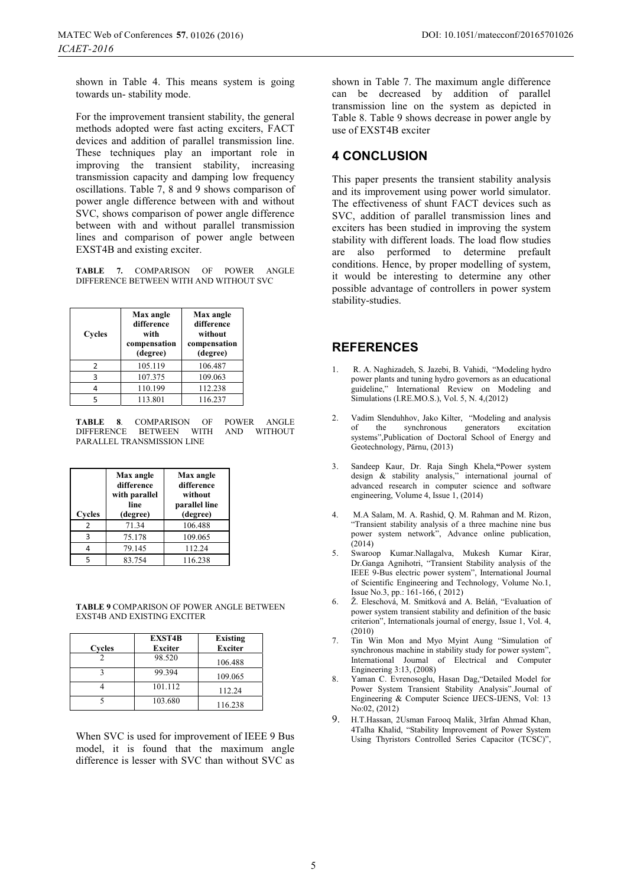shown in Table 4. This means system is going towards un- stability mode.

For the improvement transient stability, the general methods adopted were fast acting exciters, FACT devices and addition of parallel transmission line. These techniques play an important role in improving the transient stability, increasing transmission capacity and damping low frequency oscillations. Table 7, 8 and 9 shows comparison of power angle difference between with and without SVC, shows comparison of power angle difference between with and without parallel transmission lines and comparison of power angle between EXST4B and existing exciter.

**TABLE 7.** COMPARISON OF POWER ANGLE DIFFERENCE BETWEEN WITH AND WITHOUT SVC

| <b>Cycles</b> | Max angle<br>difference<br>with<br>compensation<br>(degree) | Max angle<br>difference<br>without<br>compensation<br>(degree) |
|---------------|-------------------------------------------------------------|----------------------------------------------------------------|
| 2             | 105.119                                                     | 106.487                                                        |
| 3             | 107.375                                                     | 109.063                                                        |
|               | 110.199                                                     | 112.238                                                        |
| 5             | 113.801                                                     | 116.237                                                        |

**TABLE 8**. COMPARISON OF POWER ANGLE DIFFERENCE BETWEEN PARALLEL TRANSMISSION LINE

| Cycles        | Max angle<br>difference<br>with parallel<br>line<br>(degree) | Max angle<br>difference<br>without<br>parallel line<br>(degree) |
|---------------|--------------------------------------------------------------|-----------------------------------------------------------------|
| $\mathcal{P}$ | 71.34                                                        | 106.488                                                         |
| ς             | 75.178                                                       | 109.065                                                         |
|               | 79.145                                                       | 112.24                                                          |
|               | 83.754                                                       | 116.238                                                         |

**TABLE 9** COMPARISON OF POWER ANGLE BETWEEN EXST4B AND EXISTING EXCITER

| Cycles | <b>EXST4B</b><br><b>Exciter</b> | <b>Existing</b><br><b>Exciter</b> |
|--------|---------------------------------|-----------------------------------|
|        | 98.520                          | 106.488                           |
|        | 99.394                          | 109.065                           |
|        | 101.112                         | 112.24                            |
|        | 103.680                         | 116.238                           |

When SVC is used for improvement of IEEE 9 Bus model, it is found that the maximum angle difference is lesser with SVC than without SVC as shown in Table 7. The maximum angle difference can be decreased by addition of parallel transmission line on the system as depicted in Table 8. Table 9 shows decrease in power angle by use of EXST4B exciter

# **4 CONCLUSION**

This paper presents the transient stability analysis and its improvement using power world simulator. The effectiveness of shunt FACT devices such as SVC, addition of parallel transmission lines and exciters has been studied in improving the system stability with different loads. The load flow studies are also performed to determine prefault conditions. Hence, by proper modelling of system, it would be interesting to determine any other possible advantage of controllers in power system stability-studies.

## **REFERENCES**

- 1. R. A. Naghizadeh, S. Jazebi, B. Vahidi, "Modeling hydro power plants and tuning hydro governors as an educational guideline," International Review on Modeling and Simulations (I.RE.MO.S.), Vol. 5, N. 4,(2012)
- 2. Vadim Slenduhhov, Jako Kilter, "Modeling and analysis of the synchronous generators excitation systems",Publication of Doctoral School of Energy and Geotechnology, Pärnu, (2013)
- 3. Sandeep Kaur, Dr. Raja Singh Khela,**"**Power system design & stability analysis," international journal of advanced research in computer science and software engineering, Volume 4, Issue 1, (2014)
- 4. M.A Salam, M. A. Rashid, Q. M. Rahman and M. Rizon, "Transient stability analysis of a three machine nine bus power system network", Advance online publication,  $(2014)$
- 5. Swaroop Kumar.Nallagalva, Mukesh Kumar Kirar, Dr.Ganga Agnihotri, "Transient Stability analysis of the IEEE 9-Bus electric power system", International Journal of Scientific Engineering and Technology, Volume No.1, Issue No.3, pp.: 161-166, ( 2012)
- 6. Ž. Eleschová, M. Smitková and A. Beláň, "Evaluation of power system transient stability and definition of the basic criterion", Internationals journal of energy, Issue 1, Vol. 4, (2010)
- 7. Tin Win Mon and Myo Myint Aung "Simulation of synchronous machine in stability study for power system", International Journal of Electrical and Computer Engineering 3:13, (2008)
- 8. Yaman C. Evrenosoglu, Hasan Dag,"Detailed Model for Power System Transient Stability Analysis".Journal of Engineering & Computer Science IJECS-IJENS, Vol: 13 No:02, (2012)
- 9. H.T.Hassan, 2Usman Farooq Malik, 3Irfan Ahmad Khan, 4Talha Khalid, "Stability Improvement of Power System Using Thyristors Controlled Series Capacitor (TCSC)",